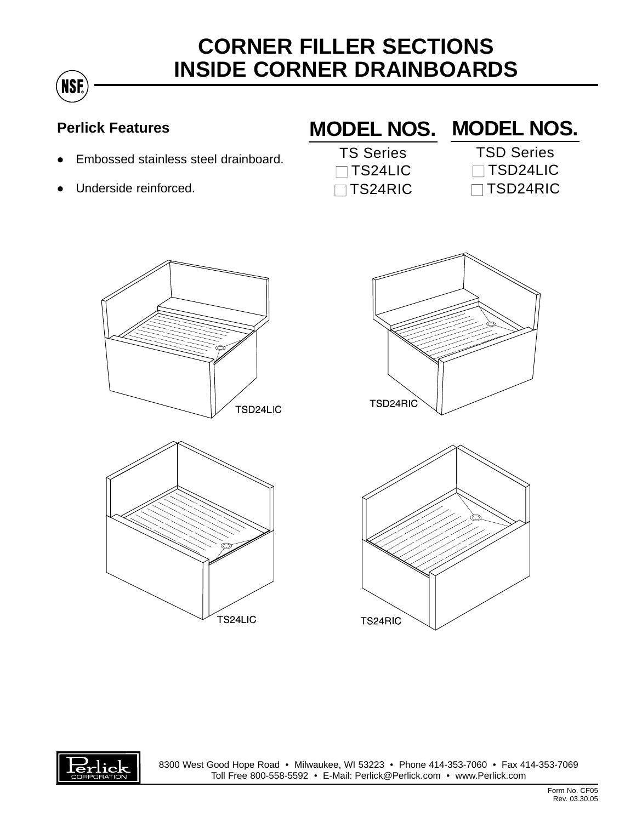## **CORNER FILLER SECTIONS INSIDE CORNER DRAINBOARDS**

## **Perlick Features**

**NSF** 

- Embossed stainless steel drainboard.
- Underside reinforced.

## **MODEL NOS. MODEL NOS.**

- TS Series □ TS24LIC □ TS24RIC
- TSD Series □ TSD24LIC □ TSD24RIC









8300 West Good Hope Road • Milwaukee, WI 53223 • Phone 414-353-7060 • Fax 414-353-7069 Toll Free 800-558-5592 • E-Mail: Perlick@Perlick.com • www.Perlick.com